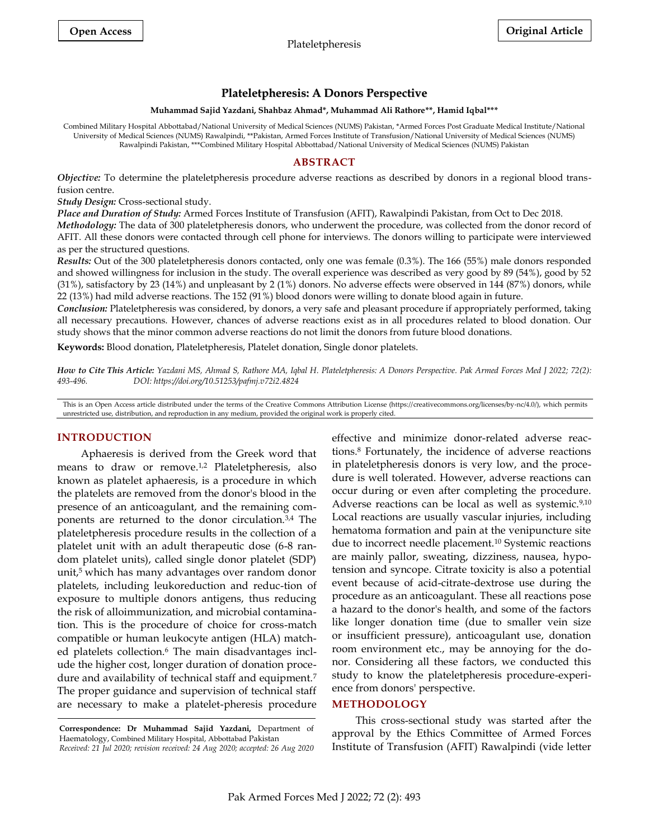# **Plateletpheresis: A Donors Perspective**

#### **Muhammad Sajid Yazdani, Shahbaz Ahmad\*, Muhammad Ali Rathore\*\*, Hamid Iqbal\*\*\***

Combined Military Hospital Abbottabad/National University of Medical Sciences (NUMS) Pakistan, \*Armed Forces Post Graduate Medical Institute/National University of Medical Sciences (NUMS) Rawalpindi, \*\*Pakistan, Armed Forces Institute of Transfusion/National University of Medical Sciences (NUMS) Rawalpindi Pakistan, \*\*\*Combined Military Hospital Abbottabad/National University of Medical Sciences (NUMS) Pakistan

### **ABSTRACT**

*Objective:* To determine the plateletpheresis procedure adverse reactions as described by donors in a regional blood transfusion centre.

*Study Design:* Cross-sectional study.

*Place and Duration of Study:* Armed Forces Institute of Transfusion (AFIT), Rawalpindi Pakistan, from Oct to Dec 2018.

*Methodology:* The data of 300 plateletpheresis donors, who underwent the procedure, was collected from the donor record of AFIT. All these donors were contacted through cell phone for interviews. The donors willing to participate were interviewed as per the structured questions.

*Results:* Out of the 300 plateletpheresis donors contacted, only one was female (0.3%). The 166 (55%) male donors responded and showed willingness for inclusion in the study. The overall experience was described as very good by 89 (54%), good by 52 (31%), satisfactory by 23 (14%) and unpleasant by 2 (1%) donors. No adverse effects were observed in 144 (87%) donors, while 22 (13%) had mild adverse reactions. The 152 (91%) blood donors were willing to donate blood again in future.

*Conclusion:* Plateletpheresis was considered, by donors, a very safe and pleasant procedure if appropriately performed, taking all necessary precautions. However, chances of adverse reactions exist as in all procedures related to blood donation. Our study shows that the minor common adverse reactions do not limit the donors from future blood donations.

**Keywords:** Blood donation, Plateletpheresis, Platelet donation, Single donor platelets.

*How to Cite This Article: Yazdani MS, Ahmad S, Rathore MA, Iqbal H. Plateletpheresis: A Donors Perspective. Pak Armed Forces Med J 2022; 72(2): 493-496. DOI: https://doi.org/10.51253/pafmj.v72i2.4824*

This is an Open Access article distributed under the terms of the Creative Commons Attribution License (https://creativecommons.org/licenses/by-nc/4.0/), which permits unrestricted use, distribution, and reproduction in any medium, provided the original work is properly cited.

## **INTRODUCTION**

Aphaeresis is derived from the Greek word that means to draw or remove.1,2 Plateletpheresis, also known as platelet aphaeresis, is a procedure in which the platelets are removed from the donor's blood in the presence of an anticoagulant, and the remaining components are returned to the donor circulation.3,4 The plateletpheresis procedure results in the collection of a platelet unit with an adult therapeutic dose (6-8 random platelet units), called single donor platelet (SDP) unit, <sup>5</sup> which has many advantages over random donor platelets, including leukoreduction and reduc-tion of exposure to multiple donors antigens, thus reducing the risk of alloimmunization, and microbial contamination. This is the procedure of choice for cross-match compatible or human leukocyte antigen (HLA) matched platelets collection.<sup>6</sup> The main disadvantages include the higher cost, longer duration of donation procedure and availability of technical staff and equipment.<sup>7</sup> The proper guidance and supervision of technical staff are necessary to make a platelet-pheresis procedure

effective and minimize donor-related adverse reactions.<sup>8</sup> Fortunately, the incidence of adverse reactions in plateletpheresis donors is very low, and the procedure is well tolerated. However, adverse reactions can occur during or even after completing the procedure. Adverse reactions can be local as well as systemic.9,10 Local reactions are usually vascular injuries, including hematoma formation and pain at the venipuncture site due to incorrect needle placement.<sup>10</sup> Systemic reactions are mainly pallor, sweating, dizziness, nausea, hypotension and syncope. Citrate toxicity is also a potential event because of acid-citrate-dextrose use during the procedure as an anticoagulant. These all reactions pose a hazard to the donor's health, and some of the factors like longer donation time (due to smaller vein size or insufficient pressure), anticoagulant use, donation room environment etc., may be annoying for the donor. Considering all these factors, we conducted this study to know the plateletpheresis procedure-experience from donors' perspective.

## **METHODOLOGY**

This cross-sectional study was started after the approval by the Ethics Committee of Armed Forces Institute of Transfusion (AFIT) Rawalpindi (vide letter

**Correspondence: Dr Muhammad Sajid Yazdani,** Department of Haematology, Combined Military Hospital, Abbottabad Pakistan *Received: 21 Jul 2020; revision received: 24 Aug 2020; accepted: 26 Aug 2020*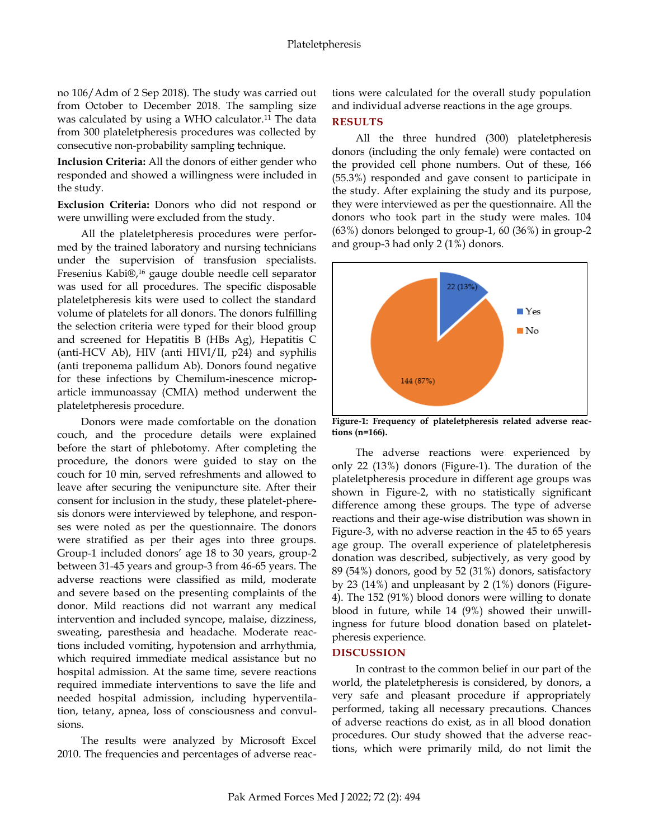no 106/Adm of 2 Sep 2018). The study was carried out from October to December 2018. The sampling size was calculated by using a WHO calculator.<sup>11</sup> The data from 300 plateletpheresis procedures was collected by consecutive non-probability sampling technique.

**Inclusion Criteria:** All the donors of either gender who responded and showed a willingness were included in the study.

**Exclusion Criteria:** Donors who did not respond or were unwilling were excluded from the study.

All the plateletpheresis procedures were performed by the trained laboratory and nursing technicians under the supervision of transfusion specialists. Fresenius Kabi®, <sup>16</sup> gauge double needle cell separator was used for all procedures. The specific disposable plateletpheresis kits were used to collect the standard volume of platelets for all donors. The donors fulfilling the selection criteria were typed for their blood group and screened for Hepatitis B (HBs Ag), Hepatitis C (anti-HCV Ab), HIV (anti HIVI/II, p24) and syphilis (anti treponema pallidum Ab). Donors found negative for these infections by Chemilum-inescence microparticle immunoassay (CMIA) method underwent the plateletpheresis procedure.

Donors were made comfortable on the donation couch, and the procedure details were explained before the start of phlebotomy. After completing the procedure, the donors were guided to stay on the couch for 10 min, served refreshments and allowed to leave after securing the venipuncture site. After their consent for inclusion in the study, these platelet-pheresis donors were interviewed by telephone, and responses were noted as per the questionnaire. The donors were stratified as per their ages into three groups. Group-1 included donors' age 18 to 30 years, group-2 between 31-45 years and group-3 from 46-65 years. The adverse reactions were classified as mild, moderate and severe based on the presenting complaints of the donor. Mild reactions did not warrant any medical intervention and included syncope, malaise, dizziness, sweating, paresthesia and headache. Moderate reactions included vomiting, hypotension and arrhythmia, which required immediate medical assistance but no hospital admission. At the same time, severe reactions required immediate interventions to save the life and needed hospital admission, including hyperventilation, tetany, apnea, loss of consciousness and convulsions.

The results were analyzed by Microsoft Excel 2010. The frequencies and percentages of adverse reactions were calculated for the overall study population and individual adverse reactions in the age groups.

# **RESULTS**

All the three hundred (300) plateletpheresis donors (including the only female) were contacted on the provided cell phone numbers. Out of these, 166 (55.3%) responded and gave consent to participate in the study. After explaining the study and its purpose, they were interviewed as per the questionnaire. All the donors who took part in the study were males. 104 (63%) donors belonged to group-1, 60 (36%) in group-2 and group-3 had only 2 (1%) donors.



**Figure-1: Frequency of plateletpheresis related adverse reactions (n=166).**

The adverse reactions were experienced by only 22 (13%) donors (Figure-1). The duration of the plateletpheresis procedure in different age groups was shown in Figure-2, with no statistically significant difference among these groups. The type of adverse reactions and their age-wise distribution was shown in Figure-3, with no adverse reaction in the 45 to 65 years age group. The overall experience of plateletpheresis donation was described, subjectively, as very good by 89 (54%) donors, good by 52 (31%) donors, satisfactory by 23 (14%) and unpleasant by 2 (1%) donors (Figure-4). The 152 (91%) blood donors were willing to donate blood in future, while 14 (9%) showed their unwillingness for future blood donation based on plateletpheresis experience.

# **DISCUSSION**

In contrast to the common belief in our part of the world, the plateletpheresis is considered, by donors, a very safe and pleasant procedure if appropriately performed, taking all necessary precautions. Chances of adverse reactions do exist, as in all blood donation procedures. Our study showed that the adverse reactions, which were primarily mild, do not limit the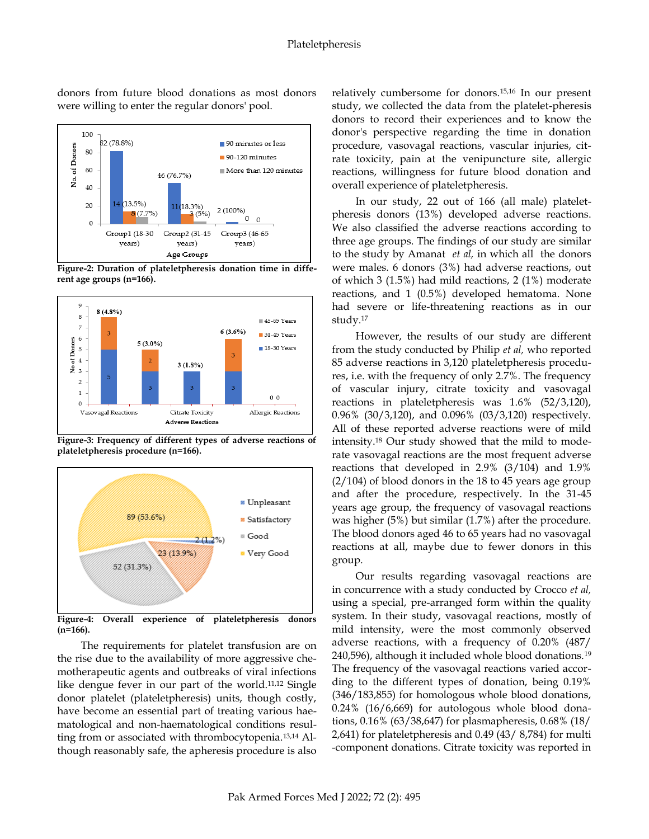donors from future blood donations as most donors were willing to enter the regular donors' pool. 100



**Figure-2: Duration of plateletpheresis donation time in different age groups (n=166).**



**Figure-3: Frequency of different types of adverse reactions of plateletpheresis procedure (n=166).**



**Figure-4: Overall experience of plateletpheresis donors (n=166).**

The requirements for platelet transfusion are on the rise due to the availability of more aggressive chemotherapeutic agents and outbreaks of viral infections like dengue fever in our part of the world.11,12 Single donor platelet (plateletpheresis) units, though costly, have become an essential part of treating various haematological and non-haematological conditions resulting from or associated with thrombocytopenia.13,14 Although reasonably safe, the apheresis procedure is also

relatively cumbersome for donors.15,16 In our present study, we collected the data from the platelet-pheresis donors to record their experiences and to know the donor's perspective regarding the time in donation procedure, vasovagal reactions, vascular injuries, citrate toxicity, pain at the venipuncture site, allergic reactions, willingness for future blood donation and overall experience of plateletpheresis.

In our study, 22 out of 166 (all male) plateletpheresis donors (13%) developed adverse reactions. We also classified the adverse reactions according to three age groups. The findings of our study are similar to the study by Amanat *et al,* in which all the donors were males. 6 donors (3%) had adverse reactions, out of which 3 (1.5%) had mild reactions, 2 (1%) moderate reactions, and 1 (0.5%) developed hematoma. None had severe or life-threatening reactions as in our study.<sup>17</sup>

However, the results of our study are different from the study conducted by Philip *et al,* who reported 85 adverse reactions in 3,120 plateletpheresis procedures, i.e. with the frequency of only 2.7%. The frequency of vascular injury, citrate toxicity and vasovagal reactions in plateletpheresis was 1.6% (52/3,120), 0.96% (30/3,120), and 0.096% (03/3,120) respectively. All of these reported adverse reactions were of mild intensity.<sup>18</sup> Our study showed that the mild to moderate vasovagal reactions are the most frequent adverse reactions that developed in 2.9% (3/104) and 1.9% (2/104) of blood donors in the 18 to 45 years age group and after the procedure, respectively. In the 31-45 years age group, the frequency of vasovagal reactions was higher (5%) but similar (1.7%) after the procedure. The blood donors aged 46 to 65 years had no vasovagal reactions at all, maybe due to fewer donors in this group.

Our results regarding vasovagal reactions are in concurrence with a study conducted by Crocco *et al,* using a special, pre-arranged form within the quality system. In their study, vasovagal reactions, mostly of mild intensity, were the most commonly observed adverse reactions, with a frequency of 0.20% (487/ 240,596), although it included whole blood donations.<sup>19</sup> The frequency of the vasovagal reactions varied according to the different types of donation, being 0.19% (346/183,855) for homologous whole blood donations, 0.24% (16/6,669) for autologous whole blood donations, 0.16% (63/38,647) for plasmapheresis, 0.68% (18/ 2,641) for plateletpheresis and 0.49 (43/ 8,784) for multi -component donations. Citrate toxicity was reported in